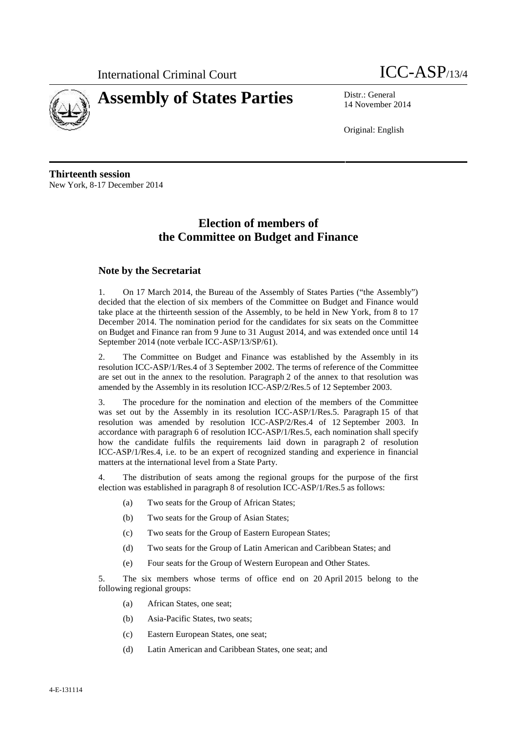International Criminal Court ICC-ASP/13/4





14 November 2014

Original: English

**Thirteenth session** New York, 8-17 December 2014

## **Election of members of the Committee on Budget and Finance**

## **Note by the Secretariat**

1. On 17 March 2014, the Bureau of the Assembly of States Parties ("the Assembly") decided that the election of six members of the Committee on Budget and Finance would take place at the thirteenth session of the Assembly, to be held in New York, from 8 to 17 December 2014. The nomination period for the candidates for six seats on the Committee on Budget and Finance ran from 9 June to 31 August 2014, and was extended once until 14 September 2014 (note verbale ICC-ASP/13/SP/61).

2. The Committee on Budget and Finance was established by the Assembly in its resolution ICC-ASP/1/Res.4 of 3 September 2002. The terms of reference of the Committee are set out in the annex to the resolution. Paragraph 2 of the annex to that resolution was amended by the Assembly in its resolution ICC-ASP/2/Res.5 of 12 September 2003.

3. The procedure for the nomination and election of the members of the Committee was set out by the Assembly in its resolution ICC-ASP/1/Res.5. Paragraph 15 of that resolution was amended by resolution ICC-ASP/2/Res.4 of 12 September 2003. In accordance with paragraph 6 of resolution ICC-ASP/1/Res.5, each nomination shall specify how the candidate fulfils the requirements laid down in paragraph 2 of resolution ICC-ASP/1/Res.4, i.e. to be an expert of recognized standing and experience in financial matters at the international level from a State Party.

4. The distribution of seats among the regional groups for the purpose of the first election was established in paragraph 8 of resolution ICC-ASP/1/Res.5 as follows:

- (a) Two seats for the Group of African States;
- (b) Two seats for the Group of Asian States;
- (c) Two seats for the Group of Eastern European States;
- (d) Two seats for the Group of Latin American and Caribbean States; and
- (e) Four seats for the Group of Western European and Other States.

5. The six members whose terms of office end on 20 April 2015 belong to the following regional groups:

- (a) African States, one seat;
- (b) Asia-Pacific States, two seats;
- (c) Eastern European States, one seat;
- (d) Latin American and Caribbean States, one seat; and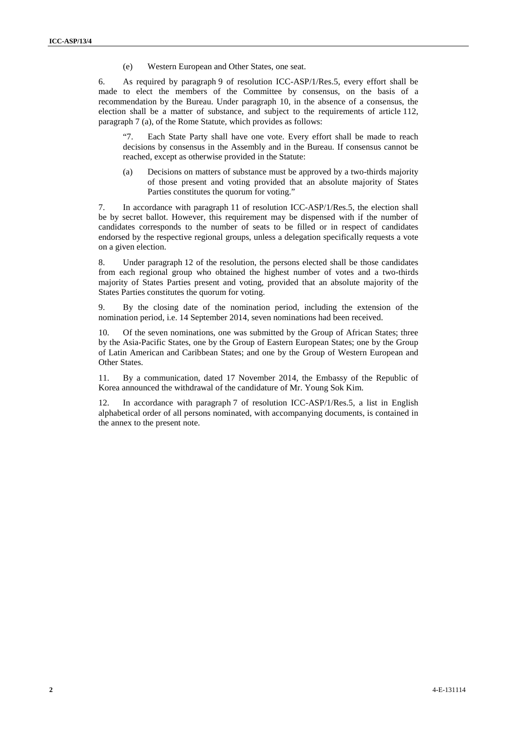(e) Western European and Other States, one seat.

6. As required by paragraph 9 of resolution ICC-ASP/1/Res.5, every effort shall be made to elect the members of the Committee by consensus, on the basis of a recommendation by the Bureau. Under paragraph 10, in the absence of a consensus, the election shall be a matter of substance, and subject to the requirements of article 112, paragraph 7 (a), of the Rome Statute, which provides as follows:

"7. Each State Party shall have one vote. Every effort shall be made to reach decisions by consensus in the Assembly and in the Bureau. If consensus cannot be reached, except as otherwise provided in the Statute:

(a) Decisions on matters of substance must be approved by a two-thirds majority of those present and voting provided that an absolute majority of States Parties constitutes the quorum for voting."

7. In accordance with paragraph 11 of resolution ICC-ASP/1/Res.5, the election shall be by secret ballot. However, this requirement may be dispensed with if the number of candidates corresponds to the number of seats to be filled or in respect of candidates endorsed by the respective regional groups, unless a delegation specifically requests a vote on a given election.

8. Under paragraph 12 of the resolution, the persons elected shall be those candidates from each regional group who obtained the highest number of votes and a two-thirds majority of States Parties present and voting, provided that an absolute majority of the States Parties constitutes the quorum for voting.

9. By the closing date of the nomination period, including the extension of the nomination period, i.e. 14 September 2014, seven nominations had been received.

10. Of the seven nominations, one was submitted by the Group of African States; three by the Asia-Pacific States, one by the Group of Eastern European States; one by the Group of Latin American and Caribbean States; and one by the Group of Western European and Other States.

11. By a communication, dated 17 November 2014, the Embassy of the Republic of Korea announced the withdrawal of the candidature of Mr. Young Sok Kim.

12. In accordance with paragraph 7 of resolution ICC-ASP/1/Res.5, a list in English alphabetical order of all persons nominated, with accompanying documents, is contained in the annex to the present note.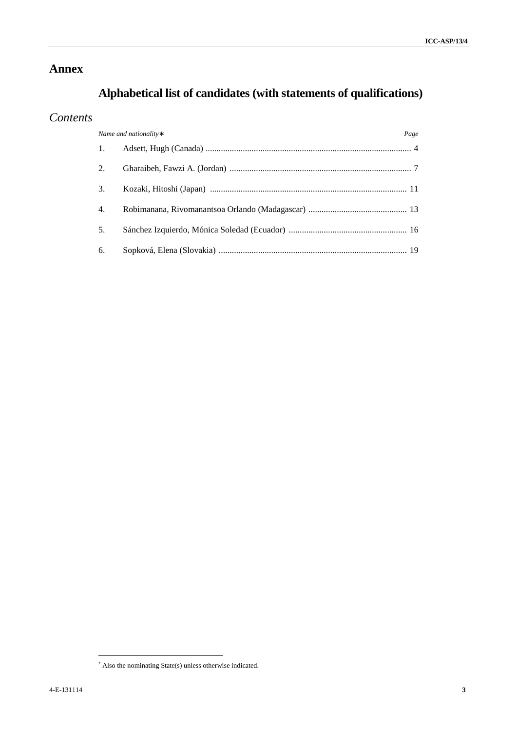## **Annex**

# **Alphabetical list of candidates (with statements of qualifications)**

## *Contents*

| Name and nationality: |  | Page |
|-----------------------|--|------|
|                       |  |      |
| 2.                    |  |      |
| 3.                    |  |      |
| 4.                    |  |      |
| .5.                   |  |      |
| 6.                    |  |      |

Also the nominating State(s) unless otherwise indicated.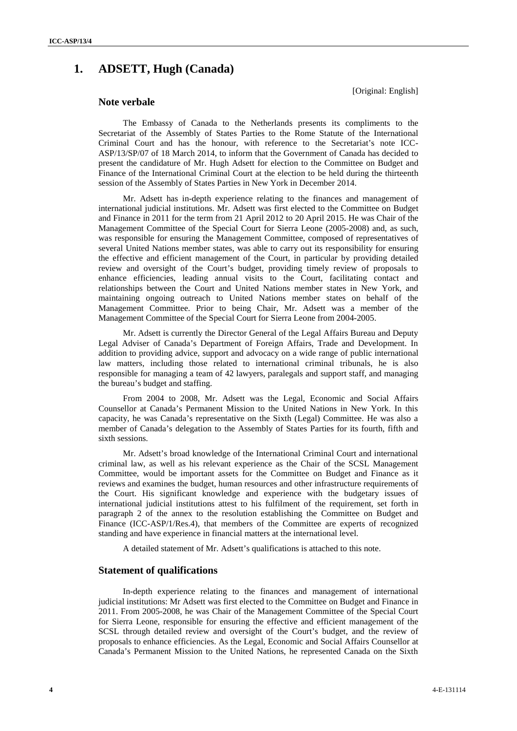## **1. ADSETT, Hugh (Canada)**

[Original: English]

## **Note verbale**

The Embassy of Canada to the Netherlands presents its compliments to the Secretariat of the Assembly of States Parties to the Rome Statute of the International Criminal Court and has the honour, with reference to the Secretariat's note ICC- ASP/13/SP/07 of 18 March 2014, to inform that the Government of Canada has decided to present the candidature of Mr. Hugh Adsett for election to the Committee on Budget and Finance of the International Criminal Court at the election to be held during the thirteenth session of the Assembly of States Parties in New York in December 2014.

Mr. Adsett has in-depth experience relating to the finances and management of international judicial institutions. Mr. Adsett was first elected to the Committee on Budget and Finance in 2011 for the term from 21 April 2012 to 20 April 2015. He was Chair of the Management Committee of the Special Court for Sierra Leone (2005-2008) and, as such, was responsible for ensuring the Management Committee, composed of representatives of several United Nations member states, was able to carry out its responsibility for ensuring the effective and efficient management of the Court, in particular by providing detailed review and oversight of the Court's budget, providing timely review of proposals to enhance efficiencies, leading annual visits to the Court, facilitating contact and relationships between the Court and United Nations member states in New York, and maintaining ongoing outreach to United Nations member states on behalf of the Management Committee. Prior to being Chair, Mr. Adsett was a member of the Management Committee of the Special Court for Sierra Leone from 2004-2005.

Mr. Adsett is currently the Director General of the Legal Affairs Bureau and Deputy Legal Adviser of Canada's Department of Foreign Affairs, Trade and Development. In addition to providing advice, support and advocacy on a wide range of public international law matters, including those related to international criminal tribunals, he is also responsible for managing a team of 42 lawyers, paralegals and support staff, and managing the bureau's budget and staffing.

From 2004 to 2008, Mr. Adsett was the Legal, Economic and Social Affairs Counsellor at Canada's Permanent Mission to the United Nations in New York. In this capacity, he was Canada's representative on the Sixth (Legal) Committee. He was also a member of Canada's delegation to the Assembly of States Parties for its fourth, fifth and sixth sessions.

Mr. Adsett's broad knowledge of the International Criminal Court and international criminal law, as well as his relevant experience as the Chair of the SCSL Management Committee, would be important assets for the Committee on Budget and Finance as it reviews and examines the budget, human resources and other infrastructure requirements of the Court. His significant knowledge and experience with the budgetary issues of international judicial institutions attest to his fulfilment of the requirement, set forth in paragraph 2 of the annex to the resolution establishing the Committee on Budget and Finance (ICC-ASP/1/Res.4), that members of the Committee are experts of recognized standing and have experience in financial matters at the international level.

A detailed statement of Mr. Adsett's qualifications is attached to this note.

## **Statement of qualifications**

In-depth experience relating to the finances and management of international judicial institutions: Mr Adsett was first elected to the Committee on Budget and Finance in 2011. From 2005-2008, he was Chair of the Management Committee of the Special Court for Sierra Leone, responsible for ensuring the effective and efficient management of the SCSL through detailed review and oversight of the Court's budget, and the review of proposals to enhance efficiencies. As the Legal, Economic and Social Affairs Counsellor at Canada's Permanent Mission to the United Nations, he represented Canada on the Sixth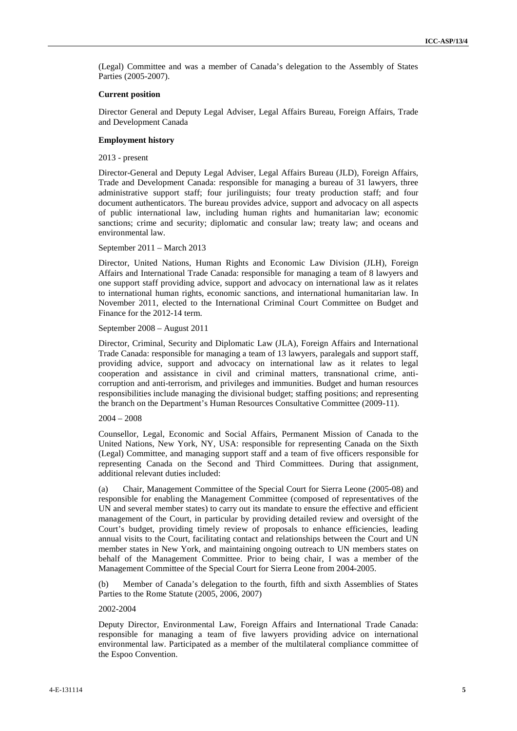(Legal) Committee and was a member of Canada's delegation to the Assembly of States Parties (2005-2007).

#### **Current position**

Director General and Deputy Legal Adviser, Legal Affairs Bureau, Foreign Affairs, Trade and Development Canada

#### **Employment history**

2013 - present

Director-General and Deputy Legal Adviser, Legal Affairs Bureau (JLD), Foreign Affairs, Trade and Development Canada: responsible for managing a bureau of 31 lawyers, three administrative support staff; four jurilinguists; four treaty production staff; and four document authenticators. The bureau provides advice, support and advocacy on all aspects of public international law, including human rights and humanitarian law; economic sanctions; crime and security; diplomatic and consular law; treaty law; and oceans and environmental law.

#### September 2011 – March 2013

Director, United Nations, Human Rights and Economic Law Division (JLH), Foreign Affairs and International Trade Canada: responsible for managing a team of 8 lawyers and one support staff providing advice, support and advocacy on international law as it relates to international human rights, economic sanctions, and international humanitarian law. In November 2011, elected to the International Criminal Court Committee on Budget and Finance for the 2012-14 term.

#### September 2008 – August 2011

Director, Criminal, Security and Diplomatic Law (JLA), Foreign Affairs and International Trade Canada: responsible for managing a team of 13 lawyers, paralegals and support staff, providing advice, support and advocacy on international law as it relates to legal cooperation and assistance in civil and criminal matters, transnational crime, anti corruption and anti-terrorism, and privileges and immunities. Budget and human resources responsibilities include managing the divisional budget; staffing positions; and representing the branch on the Department's Human Resources Consultative Committee (2009-11).

#### 2004 – 2008

Counsellor, Legal, Economic and Social Affairs, Permanent Mission of Canada to the United Nations, New York, NY, USA: responsible for representing Canada on the Sixth (Legal) Committee, and managing support staff and a team of five officers responsible for representing Canada on the Second and Third Committees. During that assignment, additional relevant duties included:

(a) Chair, Management Committee of the Special Court for Sierra Leone (2005-08) and responsible for enabling the Management Committee (composed of representatives of the UN and several member states) to carry out its mandate to ensure the effective and efficient management of the Court, in particular by providing detailed review and oversight of the Court's budget, providing timely review of proposals to enhance efficiencies, leading annual visits to the Court, facilitating contact and relationships between the Court and UN member states in New York, and maintaining ongoing outreach to UN members states on behalf of the Management Committee. Prior to being chair, I was a member of the Management Committee of the Special Court for Sierra Leone from 2004-2005.

(b) Member of Canada's delegation to the fourth, fifth and sixth Assemblies of States Parties to the Rome Statute (2005, 2006, 2007)

#### 2002-2004

Deputy Director, Environmental Law, Foreign Affairs and International Trade Canada: responsible for managing a team of five lawyers providing advice on international environmental law. Participated as a member of the multilateral compliance committee of the Espoo Convention.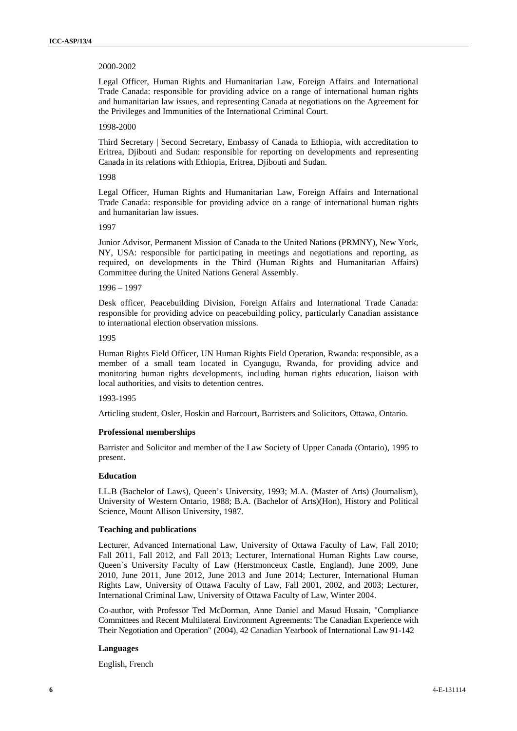#### 2000-2002

Legal Officer, Human Rights and Humanitarian Law, Foreign Affairs and International Trade Canada: responsible for providing advice on a range of international human rights and humanitarian law issues, and representing Canada at negotiations on the Agreement for the Privileges and Immunities of the International Criminal Court.

#### 1998-2000

Third Secretary | Second Secretary, Embassy of Canada to Ethiopia, with accreditation to Eritrea, Djibouti and Sudan: responsible for reporting on developments and representing Canada in its relations with Ethiopia, Eritrea, Djibouti and Sudan.

#### 1998

Legal Officer, Human Rights and Humanitarian Law, Foreign Affairs and International Trade Canada: responsible for providing advice on a range of international human rights and humanitarian law issues.

### 1007

Junior Advisor, Permanent Mission of Canada to the United Nations (PRMNY), New York, NY, USA: responsible for participating in meetings and negotiations and reporting, as required, on developments in the Third (Human Rights and Humanitarian Affairs) Committee during the United Nations General Assembly.

#### 1996 – 1997

Desk officer, Peacebuilding Division, Foreign Affairs and International Trade Canada: responsible for providing advice on peacebuilding policy, particularly Canadian assistance to international election observation missions.

## 1995

Human Rights Field Officer, UN Human Rights Field Operation, Rwanda: responsible, as a member of a small team located in Cyangugu, Rwanda, for providing advice and monitoring human rights developments, including human rights education, liaison with local authorities, and visits to detention centres.

#### 1993-1995

Articling student, Osler, Hoskin and Harcourt, Barristers and Solicitors, Ottawa, Ontario.

#### **Professional memberships**

Barrister and Solicitor and member of the Law Society of Upper Canada (Ontario), 1995 to present.

## **Education**

LL.B (Bachelor of Laws), Queen's University, 1993; M.A. (Master of Arts) (Journalism), University of Western Ontario, 1988; B.A. (Bachelor of Arts)(Hon), History and Political Science, Mount Allison University, 1987.

#### **Teaching and publications**

Lecturer, Advanced International Law, University of Ottawa Faculty of Law, Fall 2010; Fall 2011, Fall 2012, and Fall 2013; Lecturer, International Human Rights Law course, Queen`s University Faculty of Law (Herstmonceux Castle, England), June 2009, June 2010, June 2011, June 2012, June 2013 and June 2014; Lecturer, International Human Rights Law, University of Ottawa Faculty of Law, Fall 2001, 2002, and 2003; Lecturer, International Criminal Law, University of Ottawa Faculty of Law, Winter 2004.

Co-author, with Professor Ted McDorman, Anne Daniel and Masud Husain, "Compliance Committees and Recent Multilateral Environment Agreements: The Canadian Experience with Their Negotiation and Operation" (2004), 42 Canadian Yearbook of International Law 91-142

#### **Languages**

English, French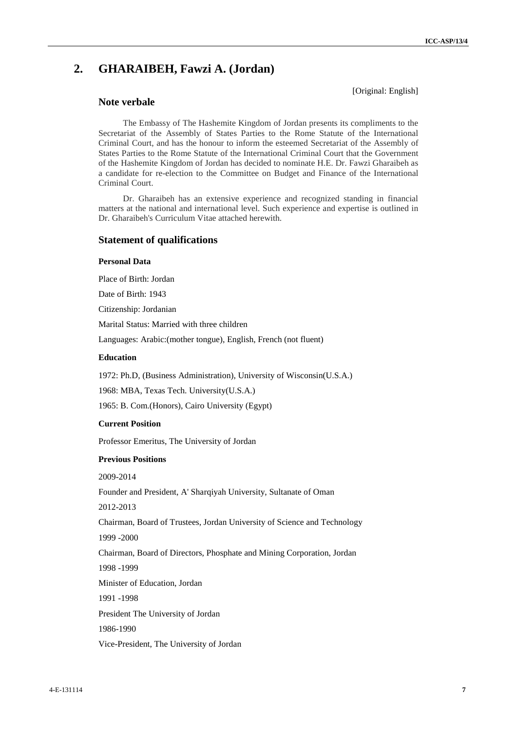[Original: English]

## **2. GHARAIBEH, Fawzi A. (Jordan)**

## **Note verbale**

The Embassy of The Hashemite Kingdom of Jordan presents its compliments to the Secretariat of the Assembly of States Parties to the Rome Statute of the International Criminal Court, and has the honour to inform the esteemed Secretariat of the Assembly of States Parties to the Rome Statute of the International Criminal Court that the Government of the Hashemite Kingdom of Jordan has decided to nominate H.E. Dr. Fawzi Gharaibeh as a candidate for re-election to the Committee on Budget and Finance of the International Criminal Court.

Dr. Gharaibeh has an extensive experience and recognized standing in financial matters at the national and international level. Such experience and expertise is outlined in Dr. Gharaibeh's Curriculum Vitae attached herewith.

## **Statement of qualifications**

## **Personal Data**

Place of Birth: Jordan

Date of Birth: 1943

Citizenship: Jordanian

Marital Status: Married with three children

Languages: Arabic:(mother tongue), English, French (not fluent)

## **Education**

1972: Ph.D, (Business Administration), University of Wisconsin(U.S.A.)

1968: MBA, Texas Tech. University(U.S.A.)

1965: B. Com.(Honors), Cairo University (Egypt)

#### **Current Position**

Professor Emeritus, The University of Jordan

#### **Previous Positions**

2009-2014

Founder and President, A' Sharqiyah University, Sultanate of Oman

2012-2013

Chairman, Board of Trustees, Jordan University of Science and Technology 1999 -2000

Chairman, Board of Directors, Phosphate and Mining Corporation, Jordan 1998 -1999

Minister of Education, Jordan

1991 -1998

President The University of Jordan

1986-1990

Vice-President, The University of Jordan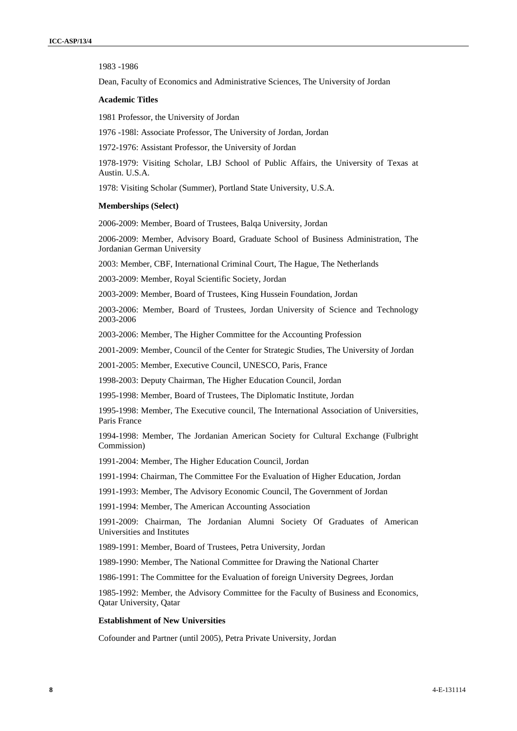1983 -1986

Dean, Faculty of Economics and Administrative Sciences, The University of Jordan

#### **Academic Titles**

1981 Professor, the University of Jordan

1976 -198l: Associate Professor, The University of Jordan, Jordan

1972-1976: Assistant Professor, the University of Jordan

1978-1979: Visiting Scholar, LBJ School of Public Affairs, the University of Texas at Austin. U.S.A.

1978: Visiting Scholar (Summer), Portland State University, U.S.A.

#### **Memberships (Select)**

2006-2009: Member, Board of Trustees, Balqa University, Jordan

2006-2009: Member, Advisory Board, Graduate School of Business Administration, The Jordanian German University

2003: Member, CBF, International Criminal Court, The Hague, The Netherlands

2003-2009: Member, Royal Scientific Society, Jordan

2003-2009: Member, Board of Trustees, King Hussein Foundation, Jordan

2003-2006: Member, Board of Trustees, Jordan University of Science and Technology 2003-2006

2003-2006: Member, The Higher Committee for the Accounting Profession

2001-2009: Member, Council of the Center for Strategic Studies, The University of Jordan

2001-2005: Member, Executive Council, UNESCO, Paris, France

1998-2003: Deputy Chairman, The Higher Education Council, Jordan

1995-1998: Member, Board of Trustees, The Diplomatic Institute, Jordan

1995-1998: Member, The Executive council, The International Association of Universities, Paris France

1994-1998: Member, The Jordanian American Society for Cultural Exchange (Fulbright Commission)

1991-2004: Member, The Higher Education Council, Jordan

1991-1994: Chairman, The Committee For the Evaluation of Higher Education, Jordan

1991-1993: Member, The Advisory Economic Council, The Government of Jordan

1991-1994: Member, The American Accounting Association

1991-2009: Chairman, The Jordanian Alumni Society Of Graduates of American Universities and Institutes

1989-1991: Member, Board of Trustees, Petra University, Jordan

1989-1990: Member, The National Committee for Drawing the National Charter

1986-1991: The Committee for the Evaluation of foreign University Degrees, Jordan

1985-1992: Member, the Advisory Committee for the Faculty of Business and Economics, Qatar University, Qatar

#### **Establishment of New Universities**

Cofounder and Partner (until 2005), Petra Private University, Jordan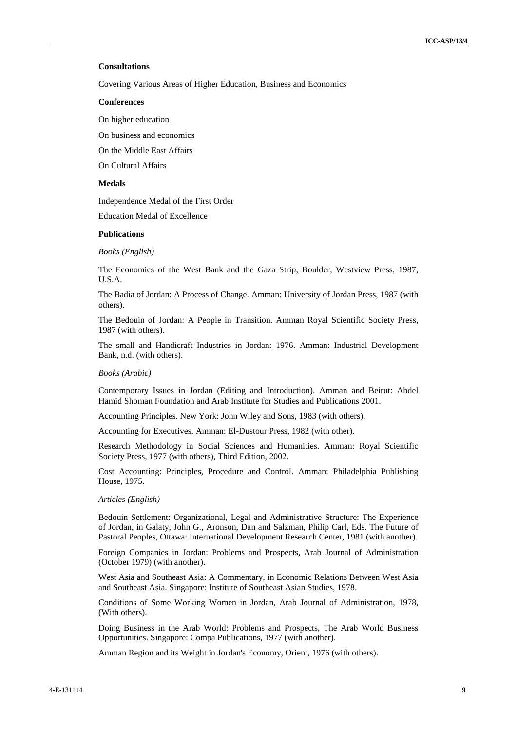### **Consultations**

Covering Various Areas of Higher Education, Business and Economics

#### **Conferences**

On higher education

On business and economics

On the Middle East Affairs

On Cultural Affairs

#### **Medals**

Independence Medal of the First Order

Education Medal of Excellence

#### **Publications**

*Books (English)*

The Economics of the West Bank and the Gaza Strip, Boulder, Westview Press, 1987, U.S.A.

The Badia of Jordan: A Process of Change. Amman: University of Jordan Press, 1987 (with others).

The Bedouin of Jordan: A People in Transition. Amman Royal Scientific Society Press, 1987 (with others).

The small and Handicraft Industries in Jordan: 1976. Amman: Industrial Development Bank, n.d. (with others).

#### *Books (Arabic)*

Contemporary Issues in Jordan (Editing and Introduction). Amman and Beirut: Abdel Hamid Shoman Foundation and Arab Institute for Studies and Publications 2001.

Accounting Principles. New York: John Wiley and Sons, 1983 (with others).

Accounting for Executives. Amman: El-Dustour Press, 1982 (with other).

Research Methodology in Social Sciences and Humanities. Amman: Royal Scientific Society Press, 1977 (with others), Third Edition, 2002.

Cost Accounting: Principles, Procedure and Control. Amman: Philadelphia Publishing House, 1975.

#### *Articles (English)*

Bedouin Settlement: Organizational, Legal and Administrative Structure: The Experience of Jordan, in Galaty, John G., Aronson, Dan and Salzman, Philip Carl, Eds. The Future of Pastoral Peoples, Ottawa: International Development Research Center, 1981 (with another).

Foreign Companies in Jordan: Problems and Prospects, Arab Journal of Administration (October 1979) (with another).

West Asia and Southeast Asia: A Commentary, in Economic Relations Between West Asia and Southeast Asia. Singapore: Institute of Southeast Asian Studies, 1978.

Conditions of Some Working Women in Jordan, Arab Journal of Administration, 1978, (With others).

Doing Business in the Arab World: Problems and Prospects, The Arab World Business Opportunities. Singapore: Compa Publications, 1977 (with another).

Amman Region and its Weight in Jordan's Economy, Orient, 1976 (with others).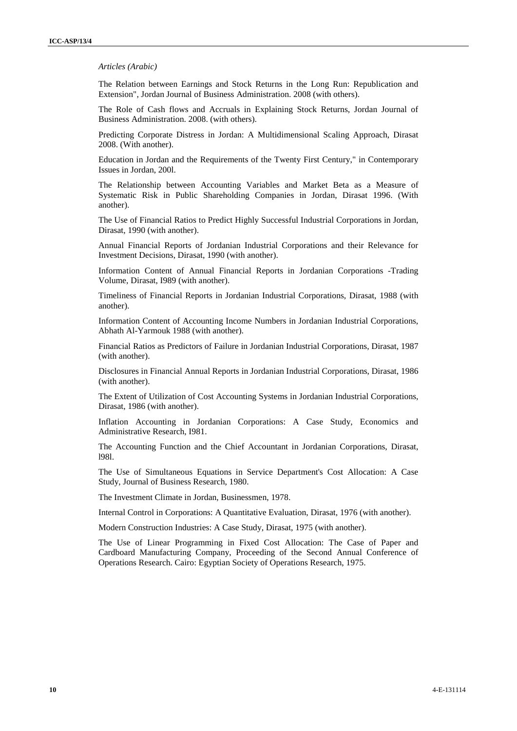#### *Articles (Arabic)*

The Relation between Earnings and Stock Returns in the Long Run: Republication and Extension", Jordan Journal of Business Administration. 2008 (with others).

The Role of Cash flows and Accruals in Explaining Stock Returns, Jordan Journal of Business Administration. 2008. (with others).

Predicting Corporate Distress in Jordan: A Multidimensional Scaling Approach, Dirasat 2008. (With another).

Education in Jordan and the Requirements of the Twenty First Century," in Contemporary Issues in Jordan, 200l.

The Relationship between Accounting Variables and Market Beta as a Measure of Systematic Risk in Public Shareholding Companies in Jordan, Dirasat 1996. (With another).

The Use of Financial Ratios to Predict Highly Successful Industrial Corporations in Jordan, Dirasat, 1990 (with another).

Annual Financial Reports of Jordanian Industrial Corporations and their Relevance for Investment Decisions, Dirasat, 1990 (with another).

Information Content of Annual Financial Reports in Jordanian Corporations -Trading Volume, Dirasat, I989 (with another).

Timeliness of Financial Reports in Jordanian Industrial Corporations, Dirasat, 1988 (with another).

Information Content of Accounting Income Numbers in Jordanian Industrial Corporations, Abhath Al-Yarmouk 1988 (with another).

Financial Ratios as Predictors of Failure in Jordanian Industrial Corporations, Dirasat, 1987 (with another).

Disclosures in Financial Annual Reports in Jordanian Industrial Corporations, Dirasat, 1986 (with another).

The Extent of Utilization of Cost Accounting Systems in Jordanian Industrial Corporations, Dirasat, 1986 (with another).

Inflation Accounting in Jordanian Corporations: A Case Study, Economics and Administrative Research, I981.

The Accounting Function and the Chief Accountant in Jordanian Corporations, Dirasat, l98l.

The Use of Simultaneous Equations in Service Department's Cost Allocation: A Case Study, Journal of Business Research, 1980.

The Investment Climate in Jordan, Businessmen, 1978.

Internal Control in Corporations: A Quantitative Evaluation, Dirasat, 1976 (with another).

Modern Construction Industries: A Case Study, Dirasat, 1975 (with another).

The Use of Linear Programming in Fixed Cost Allocation: The Case of Paper and Cardboard Manufacturing Company, Proceeding of the Second Annual Conference of Operations Research. Cairo: Egyptian Society of Operations Research, 1975.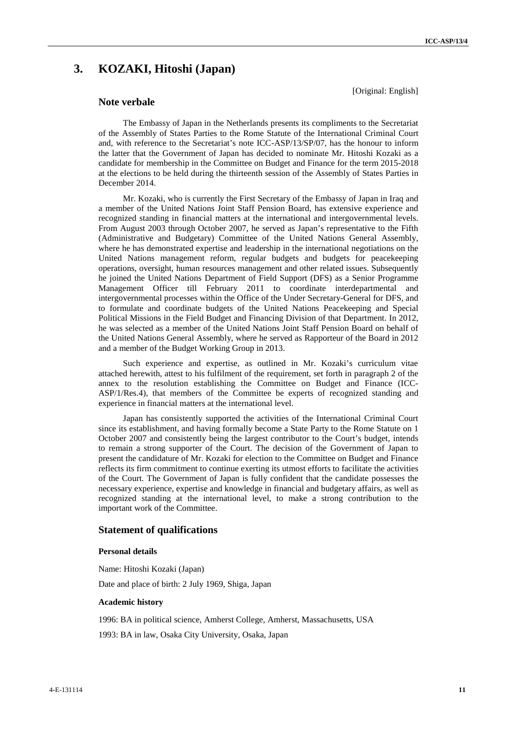## **3. KOZAKI, Hitoshi (Japan)**

## **Note verbale**

The Embassy of Japan in the Netherlands presents its compliments to the Secretariat of the Assembly of States Parties to the Rome Statute of the International Criminal Court and, with reference to the Secretariat's note ICC-ASP/13/SP/07, has the honour to inform the latter that the Government of Japan has decided to nominate Mr. Hitoshi Kozaki as a candidate for membership in the Committee on Budget and Finance for the term 2015-2018 at the elections to be held during the thirteenth session of the Assembly of States Parties in December 2014.

Mr. Kozaki, who is currently the First Secretary of the Embassy of Japan in Iraq and a member of the United Nations Joint Staff Pension Board, has extensive experience and recognized standing in financial matters at the international and intergovernmental levels. From August 2003 through October 2007, he served as Japan's representative to the Fifth (Administrative and Budgetary) Committee of the United Nations General Assembly, where he has demonstrated expertise and leadership in the international negotiations on the United Nations management reform, regular budgets and budgets for peacekeeping operations, oversight, human resources management and other related issues. Subsequently he joined the United Nations Department of Field Support (DFS) as a Senior Programme Management Officer till February 2011 to coordinate interdepartmental and intergovernmental processes within the Office of the Under Secretary-General for DFS, and to formulate and coordinate budgets of the United Nations Peacekeeping and Special Political Missions in the Field Budget and Financing Division of that Department. In 2012, he was selected as a member of the United Nations Joint Staff Pension Board on behalf of the United Nations General Assembly, where he served as Rapporteur of the Board in 2012 and a member of the Budget Working Group in 2013.

Such experience and expertise, as outlined in Mr. Kozaki's curriculum vitae attached herewith, attest to his fulfilment of the requirement, set forth in paragraph 2 of the annex to the resolution establishing the Committee on Budget and Finance (ICC- ASP/1/Res.4), that members of the Committee be experts of recognized standing and experience in financial matters at the international level.

Japan has consistently supported the activities of the International Criminal Court since its establishment, and having formally become a State Party to the Rome Statute on 1 October 2007 and consistently being the largest contributor to the Court's budget, intends to remain a strong supporter of the Court. The decision of the Government of Japan to present the candidature of Mr. Kozaki for election to the Committee on Budget and Finance reflects its firm commitment to continue exerting its utmost efforts to facilitate the activities of the Court. The Government of Japan is fully confident that the candidate possesses the necessary experience, expertise and knowledge in financial and budgetary affairs, as well as recognized standing at the international level, to make a strong contribution to the important work of the Committee.

## **Statement of qualifications**

### **Personal details**

Name: Hitoshi Kozaki (Japan)

Date and place of birth: 2 July 1969, Shiga, Japan

#### **Academic history**

1996: BA in political science, Amherst College, Amherst, Massachusetts, USA

1993: BA in law, Osaka City University, Osaka, Japan

[Original: English]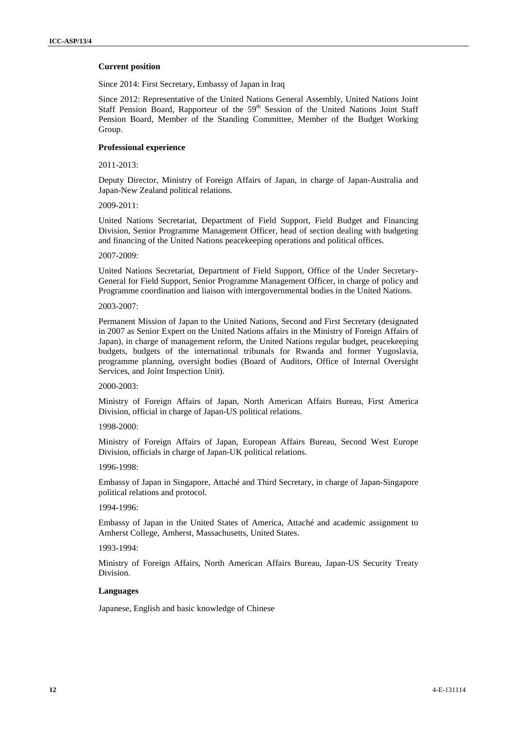#### **Current position**

Since 2014: First Secretary, Embassy of Japan in Iraq

Since 2012: Representative of the United Nations General Assembly, United Nations Joint Staff Pension Board, Rapporteur of the 59<sup>th</sup> Session of the United Nations Joint Staff Pension Board, Member of the Standing Committee, Member of the Budget Working Group.

## **Professional experience**

2011-2013:

Deputy Director, Ministry of Foreign Affairs of Japan, in charge of Japan-Australia and Japan-New Zealand political relations.

## 2009-2011:

United Nations Secretariat, Department of Field Support, Field Budget and Financing Division, Senior Programme Management Officer, head of section dealing with budgeting and financing of the United Nations peacekeeping operations and political offices.

#### 2007-2009:

United Nations Secretariat, Department of Field Support, Office of the Under Secretary- General for Field Support, Senior Programme Management Officer, in charge of policy and Programme coordination and liaison with intergovernmental bodies in the United Nations.

#### 2003-2007:

Permanent Mission of Japan to the United Nations, Second and First Secretary (designated in 2007 as Senior Expert on the United Nations affairs in the Ministry of Foreign Affairs of Japan), in charge of management reform, the United Nations regular budget, peacekeeping budgets, budgets of the international tribunals for Rwanda and former Yugoslavia, programme planning, oversight bodies (Board of Auditors, Office of Internal Oversight Services, and Joint Inspection Unit).

#### 2000-2003:

Ministry of Foreign Affairs of Japan, North American Affairs Bureau, First America Division, official in charge of Japan-US political relations.

#### 1998-2000:

Ministry of Foreign Affairs of Japan, European Affairs Bureau, Second West Europe Division, officials in charge of Japan-UK political relations.

#### 1996-1998:

Embassy of Japan in Singapore, Attaché and Third Secretary, in charge of Japan-Singapore political relations and protocol.

#### 1994-1996:

Embassy of Japan in the United States of America, Attaché and academic assignment to Amherst College, Amherst, Massachusetts, United States.

#### 1993-1994:

Ministry of Foreign Affairs, North American Affairs Bureau, Japan-US Security Treaty Division.

#### **Languages**

Japanese, English and basic knowledge of Chinese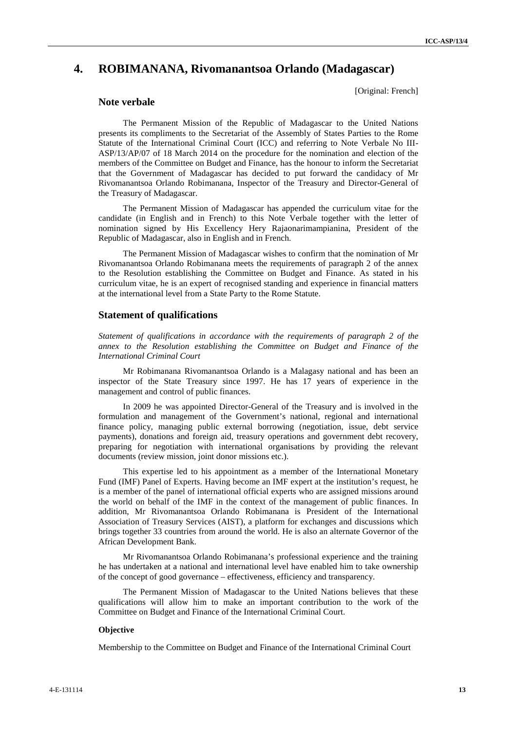## **4. ROBIMANANA, Rivomanantsoa Orlando (Madagascar)**

[Original: French]

## **Note verbale**

The Permanent Mission of the Republic of Madagascar to the United Nations presents its compliments to the Secretariat of the Assembly of States Parties to the Rome Statute of the International Criminal Court (ICC) and referring to Note Verbale No III- ASP/13/AP/07 of 18 March 2014 on the procedure for the nomination and election of the members of the Committee on Budget and Finance, has the honour to inform the Secretariat that the Government of Madagascar has decided to put forward the candidacy of Mr Rivomanantsoa Orlando Robimanana, Inspector of the Treasury and Director-General of the Treasury of Madagascar.

The Permanent Mission of Madagascar has appended the curriculum vitae for the candidate (in English and in French) to this Note Verbale together with the letter of nomination signed by His Excellency Hery Rajaonarimampianina, President of the Republic of Madagascar, also in English and in French.

The Permanent Mission of Madagascar wishes to confirm that the nomination of Mr Rivomanantsoa Orlando Robimanana meets the requirements of paragraph 2 of the annex to the Resolution establishing the Committee on Budget and Finance. As stated in his curriculum vitae, he is an expert of recognised standing and experience in financial matters at the international level from a State Party to the Rome Statute.

#### **Statement of qualifications**

*Statement of qualifications in accordance with the requirements of paragraph 2 of the annex to the Resolution establishing the Committee on Budget and Finance of the International Criminal Court*

Mr Robimanana Rivomanantsoa Orlando is a Malagasy national and has been an inspector of the State Treasury since 1997. He has 17 years of experience in the management and control of public finances.

In 2009 he was appointed Director-General of the Treasury and is involved in the formulation and management of the Government's national, regional and international finance policy, managing public external borrowing (negotiation, issue, debt service payments), donations and foreign aid, treasury operations and government debt recovery, preparing for negotiation with international organisations by providing the relevant documents (review mission, joint donor missions etc.).

This expertise led to his appointment as a member of the International Monetary Fund (IMF) Panel of Experts. Having become an IMF expert at the institution's request, he is a member of the panel of international official experts who are assigned missions around the world on behalf of the IMF in the context of the management of public finances. In addition, Mr Rivomanantsoa Orlando Robimanana is President of the International Association of Treasury Services (AIST), a platform for exchanges and discussions which brings together 33 countries from around the world. He is also an alternate Governor of the African Development Bank.

Mr Rivomanantsoa Orlando Robimanana's professional experience and the training he has undertaken at a national and international level have enabled him to take ownership of the concept of good governance – effectiveness, efficiency and transparency.

The Permanent Mission of Madagascar to the United Nations believes that these qualifications will allow him to make an important contribution to the work of the Committee on Budget and Finance of the International Criminal Court.

#### **Objective**

Membership to the Committee on Budget and Finance of the International Criminal Court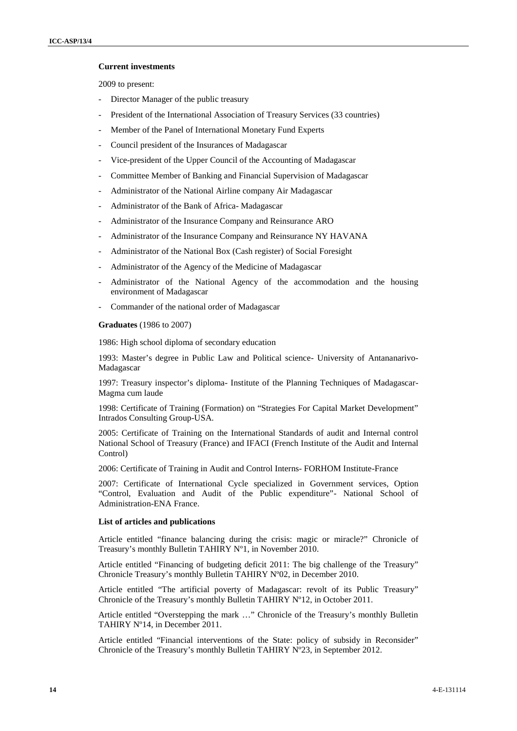### **Current investments**

2009 to present:

- Director Manager of the public treasury
- President of the International Association of Treasury Services (33 countries)
- Member of the Panel of International Monetary Fund Experts
- Council president of the Insurances of Madagascar
- Vice-president of the Upper Council of the Accounting of Madagascar
- Committee Member of Banking and Financial Supervision of Madagascar
- Administrator of the National Airline company Air Madagascar
- Administrator of the Bank of Africa- Madagascar
- Administrator of the Insurance Company and Reinsurance ARO
- Administrator of the Insurance Company and Reinsurance NY HAVANA
- Administrator of the National Box (Cash register) of Social Foresight
- Administrator of the Agency of the Medicine of Madagascar
- Administrator of the National Agency of the accommodation and the housing environment of Madagascar
- Commander of the national order of Madagascar

#### **Graduates** (1986 to 2007)

1986: High school diploma of secondary education

1993: Master's degree in Public Law and Political science- University of Antananarivo- Madagascar

1997: Treasury inspector's diploma- Institute of the Planning Techniques of Madagascar- Magma cum laude

1998: Certificate of Training (Formation) on "Strategies For Capital Market Development" Intrados Consulting Group-USA.

2005: Certificate of Training on the International Standards of audit and Internal control National School of Treasury (France) and IFACI (French Institute of the Audit and Internal Control)

2006: Certificate of Training in Audit and Control Interns- FORHOM Institute-France

2007: Certificate of International Cycle specialized in Government services, Option "Control, Evaluation and Audit of the Public expenditure"- National School of Administration-ENA France.

#### **List of articles and publications**

Article entitled "finance balancing during the crisis: magic or miracle?" Chronicle of Treasury's monthly Bulletin TAHIRY Nº1, in November 2010.

Article entitled "Financing of budgeting deficit 2011: The big challenge of the Treasury" Chronicle Treasury's monthly Bulletin TAHIRY Nº02, in December 2010.

Article entitled "The artificial poverty of Madagascar: revolt of its Public Treasury" Chronicle of the Treasury's monthly Bulletin TAHIRY Nº12, in October 2011.

Article entitled "Overstepping the mark …" Chronicle of the Treasury's monthly Bulletin TAHIRY Nº14, in December 2011.

Article entitled "Financial interventions of the State: policy of subsidy in Reconsider" Chronicle of the Treasury's monthly Bulletin TAHIRY Nº23, in September 2012.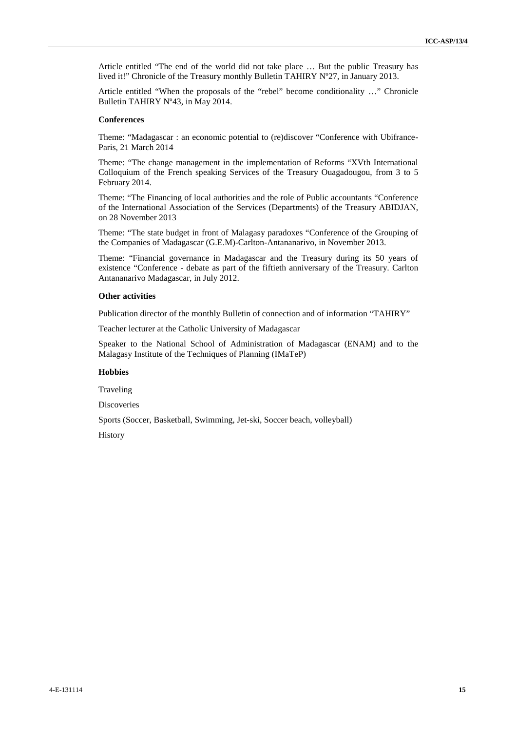Article entitled "The end of the world did not take place … But the public Treasury has lived it!" Chronicle of the Treasury monthly Bulletin TAHIRY Nº27, in January 2013.

Article entitled "When the proposals of the "rebel" become conditionality …" Chronicle Bulletin TAHIRY Nº43, in May 2014.

#### **Conferences**

Theme: "Madagascar : an economic potential to (re)discover "Conference with Ubifrance- Paris, 21 March 2014

Theme: "The change management in the implementation of Reforms "XVth International Colloquium of the French speaking Services of the Treasury Ouagadougou, from 3 to 5 February 2014.

Theme: "The Financing of local authorities and the role of Public accountants "Conference of the International Association of the Services (Departments) of the Treasury ABIDJAN, on 28 November 2013

Theme: "The state budget in front of Malagasy paradoxes "Conference of the Grouping of the Companies of Madagascar (G.E.M)-Carlton-Antananarivo, in November 2013.

Theme: "Financial governance in Madagascar and the Treasury during its 50 years of existence "Conference - debate as part of the fiftieth anniversary of the Treasury. Carlton Antananarivo Madagascar, in July 2012.

#### **Other activities**

Publication director of the monthly Bulletin of connection and of information "TAHIRY"

Teacher lecturer at the Catholic University of Madagascar

Speaker to the National School of Administration of Madagascar (ENAM) and to the Malagasy Institute of the Techniques of Planning (IMaTeP)

#### **Hobbies**

Traveling

Discoveries

Sports (Soccer, Basketball, Swimming, Jet-ski, Soccer beach, volleyball)

History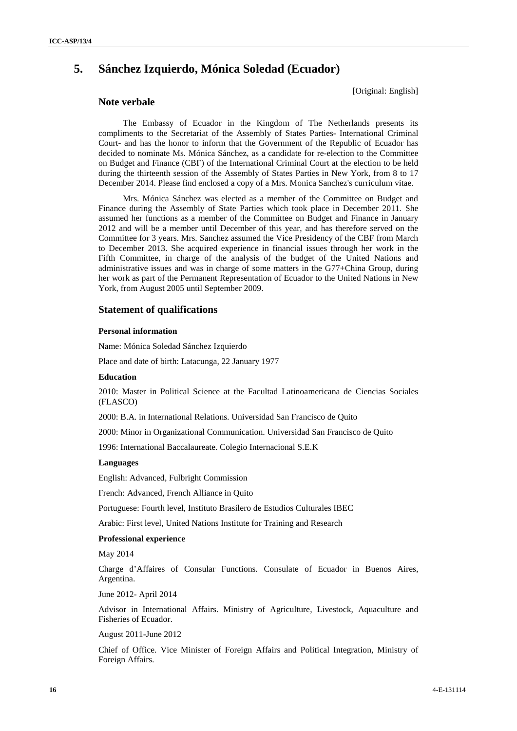## **5. Sánchez Izquierdo, Mónica Soledad (Ecuador)**

[Original: English]

## **Note verbale**

The Embassy of Ecuador in the Kingdom of The Netherlands presents its compliments to the Secretariat of the Assembly of States Parties- International Criminal Court- and has the honor to inform that the Government of the Republic of Ecuador has decided to nominate Ms. Mónica Sánchez, as a candidate for re-election to the Committee on Budget and Finance (CBF) of the International Criminal Court at the election to be held during the thirteenth session of the Assembly of States Parties in New York, from 8 to 17 December 2014. Please find enclosed a copy of a Mrs. Monica Sanchez's curriculum vitae.

Mrs. Mónica Sánchez was elected as a member of the Committee on Budget and Finance during the Assembly of State Parties which took place in December 2011. She assumed her functions as a member of the Committee on Budget and Finance in January 2012 and will be a member until December of this year, and has therefore served on the Committee for 3 years. Mrs. Sanchez assumed the Vice Presidency of the CBF from March to December 2013. She acquired experience in financial issues through her work in the Fifth Committee, in charge of the analysis of the budget of the United Nations and administrative issues and was in charge of some matters in the G77+China Group, during her work as part of the Permanent Representation of Ecuador to the United Nations in New York, from August 2005 until September 2009.

## **Statement of qualifications**

#### **Personal information**

Name: Mónica Soledad Sánchez Izquierdo

Place and date of birth: Latacunga, 22 January 1977

## **Education**

2010: Master in Political Science at the Facultad Latinoamericana de Ciencias Sociales (FLASCO)

2000: B.A. in International Relations. Universidad San Francisco de Quito

2000: Minor in Organizational Communication. Universidad San Francisco de Quito

1996: International Baccalaureate. Colegio Internacional S.E.K

### **Languages**

English: Advanced, Fulbright Commission

French: Advanced, French Alliance in Quito

Portuguese: Fourth level, Instituto Brasilero de Estudios Culturales IBEC

Arabic: First level, United Nations Institute for Training and Research

#### **Professional experience**

May 2014

Charge d'Affaires of Consular Functions. Consulate of Ecuador in Buenos Aires, Argentina.

June 2012- April 2014

Advisor in International Affairs. Ministry of Agriculture, Livestock, Aquaculture and Fisheries of Ecuador.

August 2011-June 2012

Chief of Office. Vice Minister of Foreign Affairs and Political Integration, Ministry of Foreign Affairs.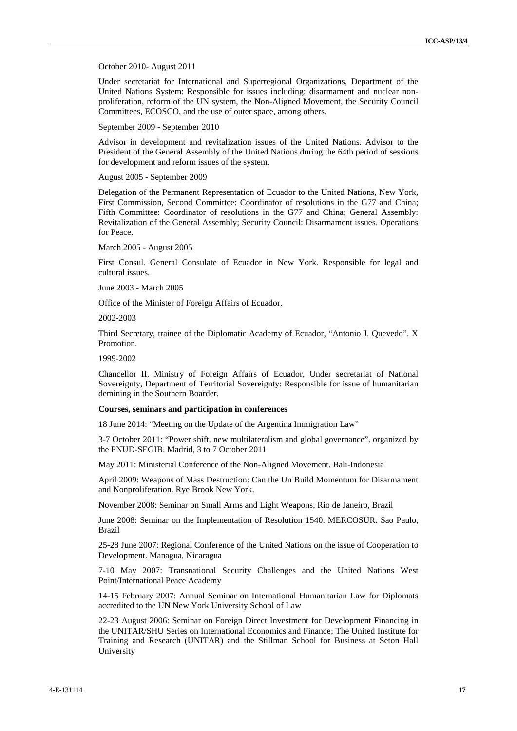October 2010- August 2011

Under secretariat for International and Superregional Organizations, Department of the United Nations System: Responsible for issues including: disarmament and nuclear non proliferation, reform of the UN system, the Non-Aligned Movement, the Security Council Committees, ECOSCO, and the use of outer space, among others.

September 2009 - September 2010

Advisor in development and revitalization issues of the United Nations. Advisor to the President of the General Assembly of the United Nations during the 64th period of sessions for development and reform issues of the system.

August 2005 - September 2009

Delegation of the Permanent Representation of Ecuador to the United Nations, New York, First Commission, Second Committee: Coordinator of resolutions in the G77 and China; Fifth Committee: Coordinator of resolutions in the G77 and China; General Assembly: Revitalization of the General Assembly; Security Council: Disarmament issues. Operations for Peace.

March 2005 - August 2005

First Consul. General Consulate of Ecuador in New York. Responsible for legal and cultural issues.

June 2003 - March 2005

Office of the Minister of Foreign Affairs of Ecuador.

2002-2003

Third Secretary, trainee of the Diplomatic Academy of Ecuador, "Antonio J. Quevedo". X Promotion.

1999-2002

Chancellor II. Ministry of Foreign Affairs of Ecuador, Under secretariat of National Sovereignty, Department of Territorial Sovereignty: Responsible for issue of humanitarian demining in the Southern Boarder.

#### **Courses, seminars and participation in conferences**

18 June 2014: "Meeting on the Update of the Argentina Immigration Law"

3-7 October 2011: "Power shift, new multilateralism and global governance", organized by the PNUD-SEGIB. Madrid, 3 to 7 October 2011

May 2011: Ministerial Conference of the Non-Aligned Movement. Bali-Indonesia

April 2009: Weapons of Mass Destruction: Can the Un Build Momentum for Disarmament and Nonproliferation. Rye Brook New York.

November 2008: Seminar on Small Arms and Light Weapons, Rio de Janeiro, Brazil

June 2008: Seminar on the Implementation of Resolution 1540. MERCOSUR. Sao Paulo, Brazil

25-28 June 2007: Regional Conference of the United Nations on the issue of Cooperation to Development. Managua, Nicaragua

7-10 May 2007: Transnational Security Challenges and the United Nations West Point/International Peace Academy

14-15 February 2007: Annual Seminar on International Humanitarian Law for Diplomats accredited to the UN New York University School of Law

22-23 August 2006: Seminar on Foreign Direct Investment for Development Financing in the UNITAR/SHU Series on International Economics and Finance; The United Institute for Training and Research (UNITAR) and the Stillman School for Business at Seton Hall University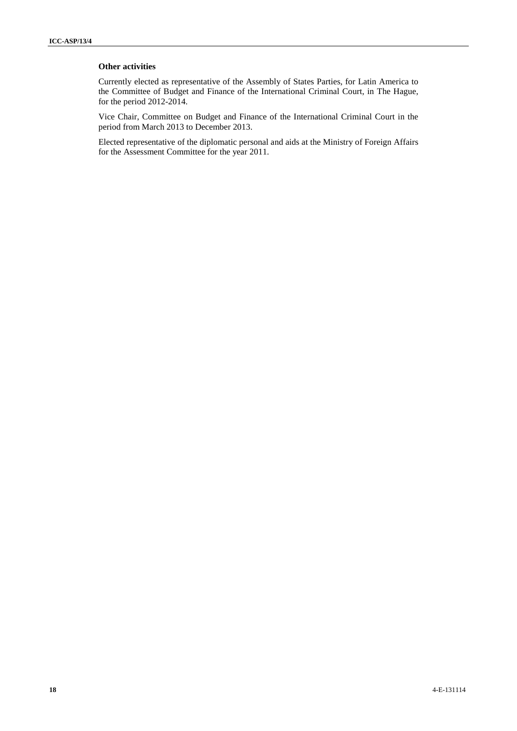## **Other activities**

Currently elected as representative of the Assembly of States Parties, for Latin America to the Committee of Budget and Finance of the International Criminal Court, in The Hague, for the period 2012-2014.

Vice Chair, Committee on Budget and Finance of the International Criminal Court in the period from March 2013 to December 2013.

Elected representative of the diplomatic personal and aids at the Ministry of Foreign Affairs for the Assessment Committee for the year 2011.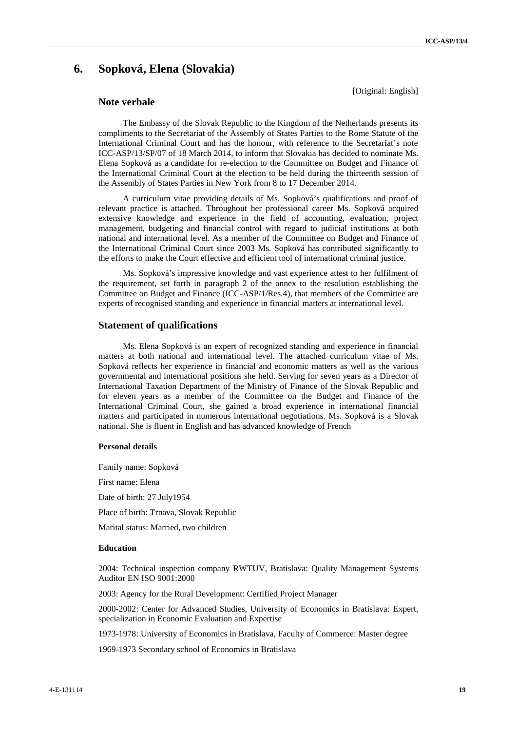## **6. Sopková, Elena (Slovakia)**

[Original: English]

## **Note verbale**

The Embassy of the Slovak Republic to the Kingdom of the Netherlands presents its compliments to the Secretariat of the Assembly of States Parties to the Rome Statute of the International Criminal Court and has the honour, with reference to the Secretariat's note ICC-ASP/13/SP/07 of 18 March 2014, to inform that Slovakia has decided to nominate Ms. Elena Sopková as a candidate for re-election to the Committee on Budget and Finance of the International Criminal Court at the election to be held during the thirteenth session of the Assembly of States Parties in New York from 8 to 17 December 2014.

A curriculum vitae providing details of Ms. Sopková's qualifications and proof of relevant practice is attached. Throughout her professional career Ms. Sopková acquired extensive knowledge and experience in the field of accounting, evaluation, project management, budgeting and financial control with regard to judicial institutions at both national and international level. As a member of the Committee on Budget and Finance of the International Criminal Court since 2003 Ms. Sopková has contributed significantly to the efforts to make the Court effective and efficient tool of international criminal justice.

Ms. Sopková's impressive knowledge and vast experience attest to her fulfilment of the requirement, set forth in paragraph 2 of the annex to the resolution establishing the Committee on Budget and Finance (ICC-ASP/1/Res.4), that members of the Committee are experts of recognised standing and experience in financial matters at international level.

#### **Statement of qualifications**

Ms. Elena Sopková is an expert of recognized standing and experience in financial matters at both national and international level. The attached curriculum vitae of Ms. Sopková reflects her experience in financial and economic matters as well as the various governmental and international positions she held. Serving for seven years as a Director of International Taxation Department of the Ministry of Finance of the Slovak Republic and for eleven years as a member of the Committee on the Budget and Finance of the International Criminal Court, she gained a broad experience in international financial matters and participated in numerous international negotiations. Ms. Sopková is a Slovak national. She is fluent in English and has advanced knowledge of French

#### **Personal details**

Family name: Sopková First name: Elena Date of birth: 27 July1954 Place of birth: Trnava, Slovak Republic Marital status: Married, two children

## **Education**

2004: Technical inspection company RWTUV, Bratislava: Quality Management Systems Auditor EN ISO 9001:2000

2003: Agency for the Rural Development: Certified Project Manager

2000-2002: Center for Advanced Studies, University of Economics in Bratislava: Expert, specialization in Economic Evaluation and Expertise

1973-1978: University of Economics in Bratislava, Faculty of Commerce: Master degree

1969-1973 Secondary school of Economics in Bratislava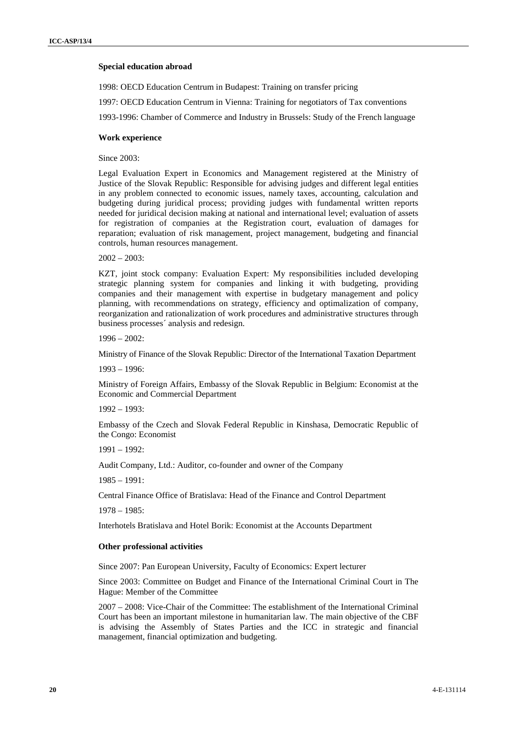#### **Special education abroad**

1998: OECD Education Centrum in Budapest: Training on transfer pricing

1997: OECD Education Centrum in Vienna: Training for negotiators of Tax conventions

1993-1996: Chamber of Commerce and Industry in Brussels: Study of the French language

#### **Work experience**

Since 2003:

Legal Evaluation Expert in Economics and Management registered at the Ministry of Justice of the Slovak Republic: Responsible for advising judges and different legal entities in any problem connected to economic issues, namely taxes, accounting, calculation and budgeting during juridical process; providing judges with fundamental written reports needed for juridical decision making at national and international level; evaluation of assets for registration of companies at the Registration court, evaluation of damages for reparation; evaluation of risk management, project management, budgeting and financial controls, human resources management.

 $2002 - 2003$ 

KZT, joint stock company: Evaluation Expert: My responsibilities included developing strategic planning system for companies and linking it with budgeting, providing companies and their management with expertise in budgetary management and policy planning, with recommendations on strategy, efficiency and optimalization of company, reorganization and rationalization of work procedures and administrative structures through business processes´ analysis and redesign.

1996 – 2002:

Ministry of Finance of the Slovak Republic: Director of the International Taxation Department

1993 – 1996:

Ministry of Foreign Affairs, Embassy of the Slovak Republic in Belgium: Economist at the Economic and Commercial Department

1992 – 1993:

Embassy of the Czech and Slovak Federal Republic in Kinshasa, Democratic Republic of the Congo: Economist

 $1991 - 1992$ :

Audit Company, Ltd.: Auditor, co-founder and owner of the Company

 $1985 - 1991$ 

Central Finance Office of Bratislava: Head of the Finance and Control Department

1978 – 1985:

Interhotels Bratislava and Hotel Borik: Economist at the Accounts Department

#### **Other professional activities**

Since 2007: Pan European University, Faculty of Economics: Expert lecturer

Since 2003: Committee on Budget and Finance of the International Criminal Court in The Hague: Member of the Committee

2007 – 2008: Vice-Chair of the Committee: The establishment of the International Criminal Court has been an important milestone in humanitarian law. The main objective of the CBF is advising the Assembly of States Parties and the ICC in strategic and financial management, financial optimization and budgeting.